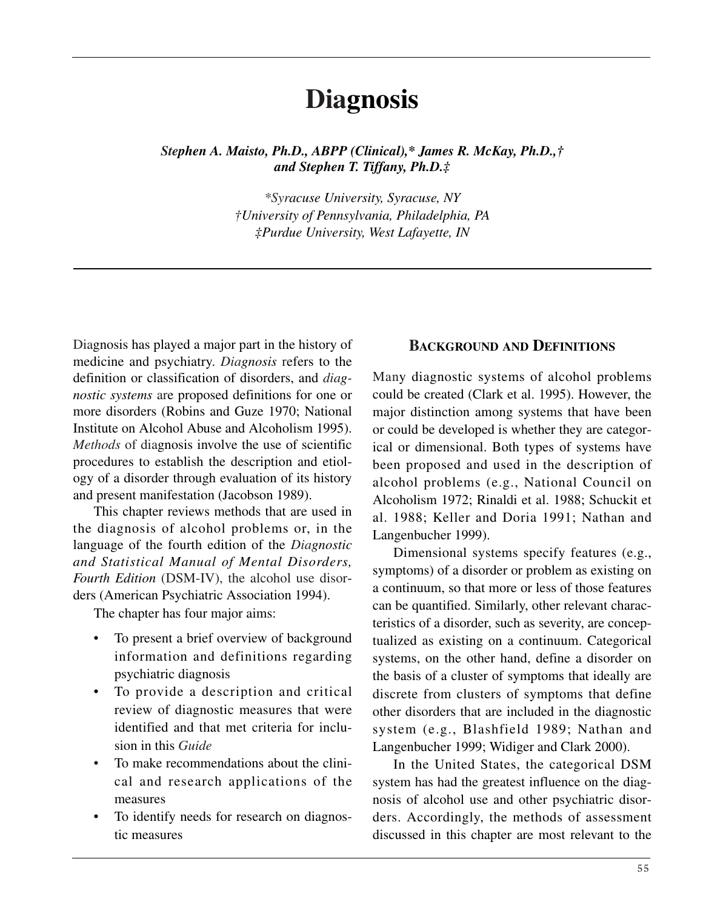# **Diagnosis**

*Stephen A. Maisto, Ph.D., ABPP (Clinical),\* James R. McKay, Ph.D.,† and Stephen T. Tiffany, Ph.D.‡* 

> *\*Syracuse University, Syracuse, NY †University of Pennsylvania, Philadelphia, PA ‡Purdue University, West Lafayette, IN*

Diagnosis has played a major part in the history of medicine and psychiatry. *Diagnosis* refers to the definition or classification of disorders, and *diagnostic systems* are proposed definitions for one or more disorders (Robins and Guze 1970; National Institute on Alcohol Abuse and Alcoholism 1995). *Methods* of diagnosis involve the use of scientific procedures to establish the description and etiology of a disorder through evaluation of its history and present manifestation (Jacobson 1989).

This chapter reviews methods that are used in the diagnosis of alcohol problems or, in the language of the fourth edition of the *Diagnostic and Statistical Manual of Mental Disorders, Fourth Edition* (DSM-IV), the alcohol use disorders (American Psychiatric Association 1994).

The chapter has four major aims:

- To present a brief overview of background information and definitions regarding psychiatric diagnosis
- To provide a description and critical review of diagnostic measures that were identified and that met criteria for inclusion in this *Guide*
- To make recommendations about the clinical and research applications of the measures
- To identify needs for research on diagnostic measures

## **BACKGROUND AND DEFINITIONS**

Many diagnostic systems of alcohol problems could be created (Clark et al. 1995). However, the major distinction among systems that have been or could be developed is whether they are categorical or dimensional. Both types of systems have been proposed and used in the description of alcohol problems (e.g., National Council on Alcoholism 1972; Rinaldi et al. 1988; Schuckit et al. 1988; Keller and Doria 1991; Nathan and Langenbucher 1999).

Dimensional systems specify features (e.g., symptoms) of a disorder or problem as existing on a continuum, so that more or less of those features can be quantified. Similarly, other relevant characteristics of a disorder, such as severity, are conceptualized as existing on a continuum. Categorical systems, on the other hand, define a disorder on the basis of a cluster of symptoms that ideally are discrete from clusters of symptoms that define other disorders that are included in the diagnostic system (e.g., Blashfield 1989; Nathan and Langenbucher 1999; Widiger and Clark 2000).

In the United States, the categorical DSM system has had the greatest influence on the diagnosis of alcohol use and other psychiatric disorders. Accordingly, the methods of assessment discussed in this chapter are most relevant to the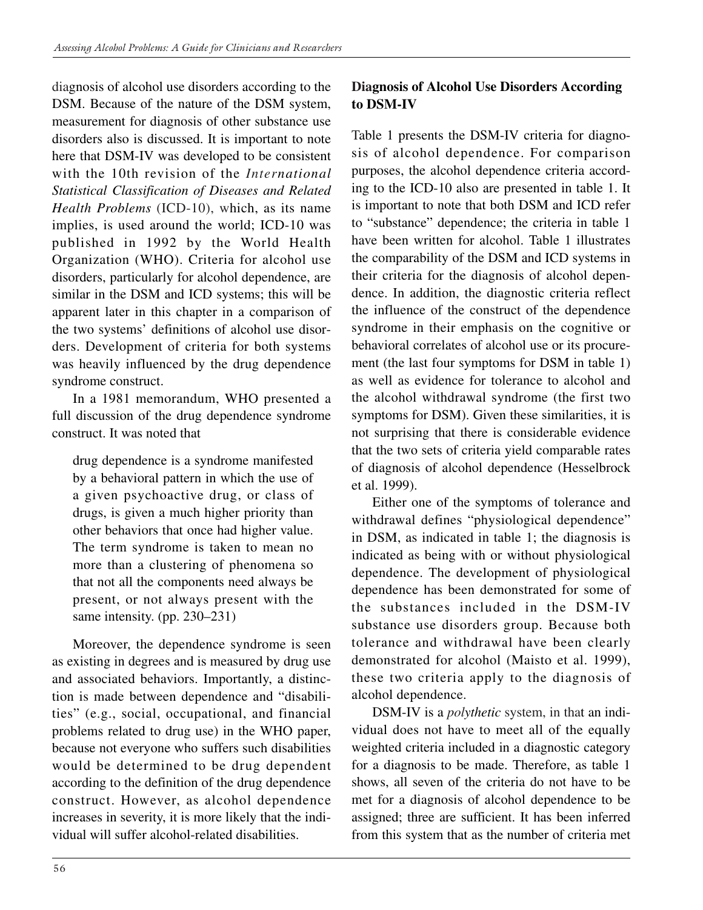diagnosis of alcohol use disorders according to the DSM. Because of the nature of the DSM system, measurement for diagnosis of other substance use disorders also is discussed. It is important to note here that DSM-IV was developed to be consistent with the 10th revision of the *International Statistical Classification of Diseases and Related Health Problems* (ICD-10), which, as its name implies, is used around the world; ICD-10 was published in 1992 by the World Health Organization (WHO). Criteria for alcohol use disorders, particularly for alcohol dependence, are similar in the DSM and ICD systems; this will be apparent later in this chapter in a comparison of the two systems' definitions of alcohol use disorders. Development of criteria for both systems was heavily influenced by the drug dependence syndrome construct.

In a 1981 memorandum, WHO presented a full discussion of the drug dependence syndrome construct. It was noted that

drug dependence is a syndrome manifested by a behavioral pattern in which the use of a given psychoactive drug, or class of drugs, is given a much higher priority than other behaviors that once had higher value. The term syndrome is taken to mean no more than a clustering of phenomena so that not all the components need always be present, or not always present with the same intensity. (pp. 230–231)

Moreover, the dependence syndrome is seen as existing in degrees and is measured by drug use and associated behaviors. Importantly, a distinction is made between dependence and "disabilities" (e.g., social, occupational, and financial problems related to drug use) in the WHO paper, because not everyone who suffers such disabilities would be determined to be drug dependent according to the definition of the drug dependence construct. However, as alcohol dependence increases in severity, it is more likely that the individual will suffer alcohol-related disabilities.

## **Diagnosis of Alcohol Use Disorders According to DSM-IV**

Table 1 presents the DSM-IV criteria for diagnosis of alcohol dependence. For comparison purposes, the alcohol dependence criteria according to the ICD-10 also are presented in table 1. It is important to note that both DSM and ICD refer to "substance" dependence; the criteria in table 1 have been written for alcohol. Table 1 illustrates the comparability of the DSM and ICD systems in their criteria for the diagnosis of alcohol dependence. In addition, the diagnostic criteria reflect the influence of the construct of the dependence syndrome in their emphasis on the cognitive or behavioral correlates of alcohol use or its procurement (the last four symptoms for DSM in table 1) as well as evidence for tolerance to alcohol and the alcohol withdrawal syndrome (the first two symptoms for DSM). Given these similarities, it is not surprising that there is considerable evidence that the two sets of criteria yield comparable rates of diagnosis of alcohol dependence (Hesselbrock et al. 1999).

Either one of the symptoms of tolerance and withdrawal defines "physiological dependence" in DSM, as indicated in table 1; the diagnosis is indicated as being with or without physiological dependence. The development of physiological dependence has been demonstrated for some of the substances included in the DSM-IV substance use disorders group. Because both tolerance and withdrawal have been clearly demonstrated for alcohol (Maisto et al. 1999), these two criteria apply to the diagnosis of alcohol dependence.

DSM-IV is a *polythetic* system, in that an individual does not have to meet all of the equally weighted criteria included in a diagnostic category for a diagnosis to be made. Therefore, as table 1 shows, all seven of the criteria do not have to be met for a diagnosis of alcohol dependence to be assigned; three are sufficient. It has been inferred from this system that as the number of criteria met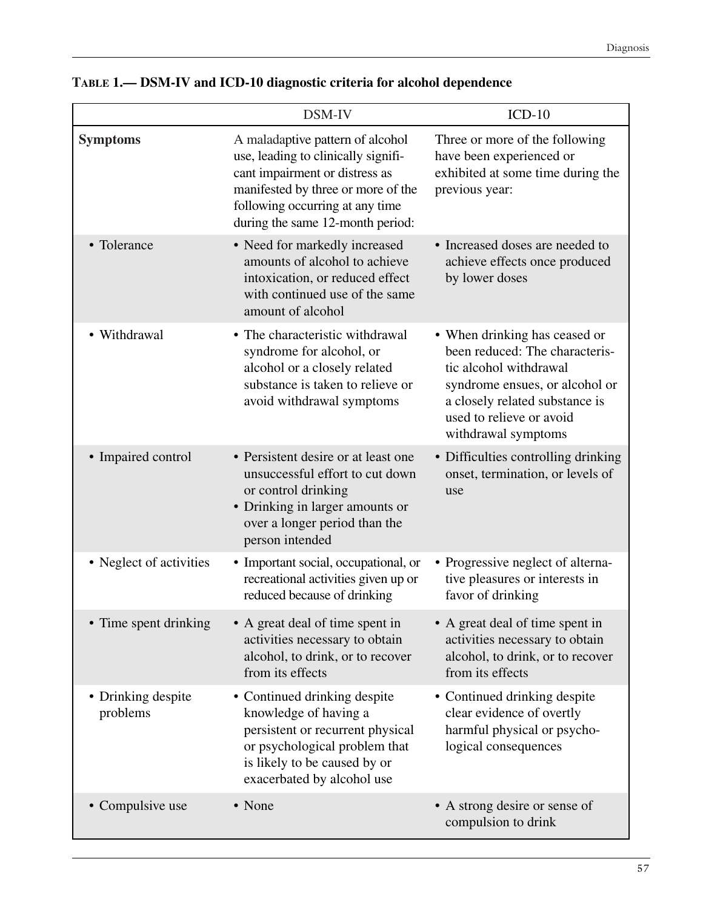|                                | DSM-IV                                                                                                                                                                                                                 | $ICD-10$                                                                                                                                                                                                         |
|--------------------------------|------------------------------------------------------------------------------------------------------------------------------------------------------------------------------------------------------------------------|------------------------------------------------------------------------------------------------------------------------------------------------------------------------------------------------------------------|
| <b>Symptoms</b>                | A maladaptive pattern of alcohol<br>use, leading to clinically signifi-<br>cant impairment or distress as<br>manifested by three or more of the<br>following occurring at any time<br>during the same 12-month period: | Three or more of the following<br>have been experienced or<br>exhibited at some time during the<br>previous year:                                                                                                |
| • Tolerance                    | • Need for markedly increased<br>amounts of alcohol to achieve<br>intoxication, or reduced effect<br>with continued use of the same<br>amount of alcohol                                                               | • Increased doses are needed to<br>achieve effects once produced<br>by lower doses                                                                                                                               |
| • Withdrawal                   | • The characteristic withdrawal<br>syndrome for alcohol, or<br>alcohol or a closely related<br>substance is taken to relieve or<br>avoid withdrawal symptoms                                                           | • When drinking has ceased or<br>been reduced: The characteris-<br>tic alcohol withdrawal<br>syndrome ensues, or alcohol or<br>a closely related substance is<br>used to relieve or avoid<br>withdrawal symptoms |
| • Impaired control             | • Persistent desire or at least one<br>unsuccessful effort to cut down<br>or control drinking<br>• Drinking in larger amounts or<br>over a longer period than the<br>person intended                                   | • Difficulties controlling drinking<br>onset, termination, or levels of<br>use                                                                                                                                   |
| • Neglect of activities        | • Important social, occupational, or<br>recreational activities given up or<br>reduced because of drinking                                                                                                             | • Progressive neglect of alterna-<br>tive pleasures or interests in<br>favor of drinking                                                                                                                         |
| • Time spent drinking          | • A great deal of time spent in<br>activities necessary to obtain<br>alcohol, to drink, or to recover<br>from its effects                                                                                              | • A great deal of time spent in<br>activities necessary to obtain<br>alcohol, to drink, or to recover<br>from its effects                                                                                        |
| • Drinking despite<br>problems | • Continued drinking despite<br>knowledge of having a<br>persistent or recurrent physical<br>or psychological problem that<br>is likely to be caused by or<br>exacerbated by alcohol use                               | • Continued drinking despite<br>clear evidence of overtly<br>harmful physical or psycho-<br>logical consequences                                                                                                 |
| • Compulsive use               | • None                                                                                                                                                                                                                 | • A strong desire or sense of<br>compulsion to drink                                                                                                                                                             |

|  |  |  |  |  |  | TABLE 1.— DSM-IV and ICD-10 diagnostic criteria for alcohol dependence |
|--|--|--|--|--|--|------------------------------------------------------------------------|
|--|--|--|--|--|--|------------------------------------------------------------------------|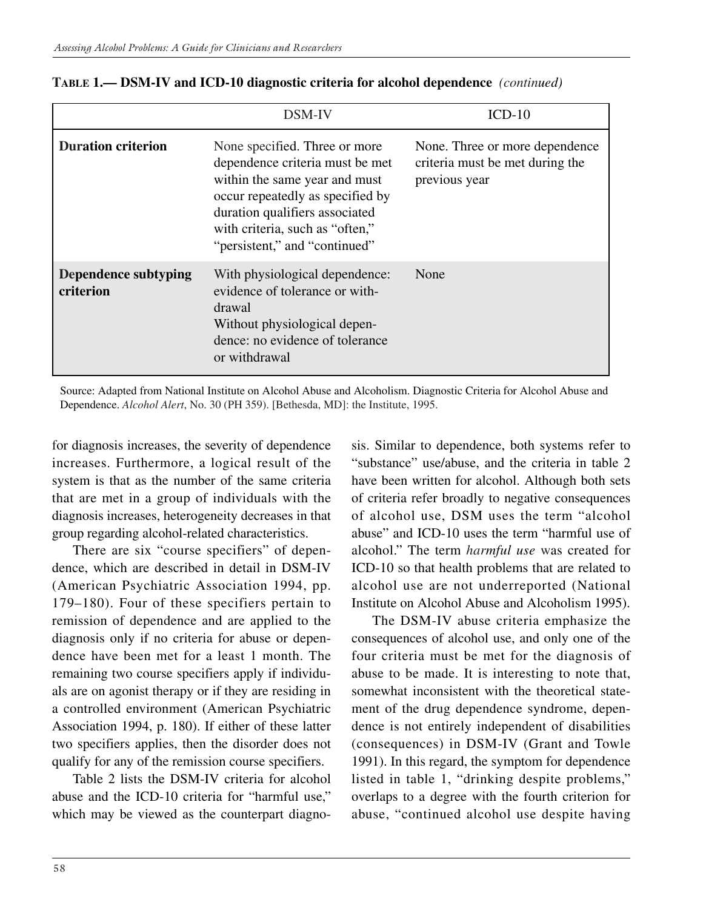|                                   | DSM-IV                                                                                                                                                                                                                                      | $ICD-10$                                                                           |
|-----------------------------------|---------------------------------------------------------------------------------------------------------------------------------------------------------------------------------------------------------------------------------------------|------------------------------------------------------------------------------------|
| <b>Duration criterion</b>         | None specified. Three or more<br>dependence criteria must be met<br>within the same year and must<br>occur repeatedly as specified by<br>duration qualifiers associated<br>with criteria, such as "often,"<br>"persistent," and "continued" | None. Three or more dependence<br>criteria must be met during the<br>previous year |
| Dependence subtyping<br>criterion | With physiological dependence:<br>evidence of tolerance or with-<br>drawal<br>Without physiological depen-<br>dence: no evidence of tolerance<br>or withdrawal                                                                              | None                                                                               |

| TABLE 1.— DSM-IV and ICD-10 diagnostic criteria for alcohol dependence (continued) |  |
|------------------------------------------------------------------------------------|--|
|------------------------------------------------------------------------------------|--|

Source: Adapted from National Institute on Alcohol Abuse and Alcoholism. Diagnostic Criteria for Alcohol Abuse and Dependence. *Alcohol Alert*, No. 30 (PH 359). [Bethesda, MD]: the Institute, 1995.

for diagnosis increases, the severity of dependence increases. Furthermore, a logical result of the system is that as the number of the same criteria that are met in a group of individuals with the diagnosis increases, heterogeneity decreases in that group regarding alcohol-related characteristics.

There are six "course specifiers" of dependence, which are described in detail in DSM-IV (American Psychiatric Association 1994, pp. 179–180). Four of these specifiers pertain to remission of dependence and are applied to the diagnosis only if no criteria for abuse or dependence have been met for a least 1 month. The remaining two course specifiers apply if individuals are on agonist therapy or if they are residing in a controlled environment (American Psychiatric Association 1994, p. 180). If either of these latter two specifiers applies, then the disorder does not qualify for any of the remission course specifiers.

Table 2 lists the DSM-IV criteria for alcohol abuse and the ICD-10 criteria for "harmful use," which may be viewed as the counterpart diagnosis. Similar to dependence, both systems refer to "substance" use/abuse, and the criteria in table 2 have been written for alcohol. Although both sets of criteria refer broadly to negative consequences of alcohol use, DSM uses the term "alcohol abuse" and ICD-10 uses the term "harmful use of alcohol." The term *harmful use* was created for ICD-10 so that health problems that are related to alcohol use are not underreported (National Institute on Alcohol Abuse and Alcoholism 1995).

The DSM-IV abuse criteria emphasize the consequences of alcohol use, and only one of the four criteria must be met for the diagnosis of abuse to be made. It is interesting to note that, somewhat inconsistent with the theoretical statement of the drug dependence syndrome, dependence is not entirely independent of disabilities (consequences) in DSM-IV (Grant and Towle 1991). In this regard, the symptom for dependence listed in table 1, "drinking despite problems," overlaps to a degree with the fourth criterion for abuse, "continued alcohol use despite having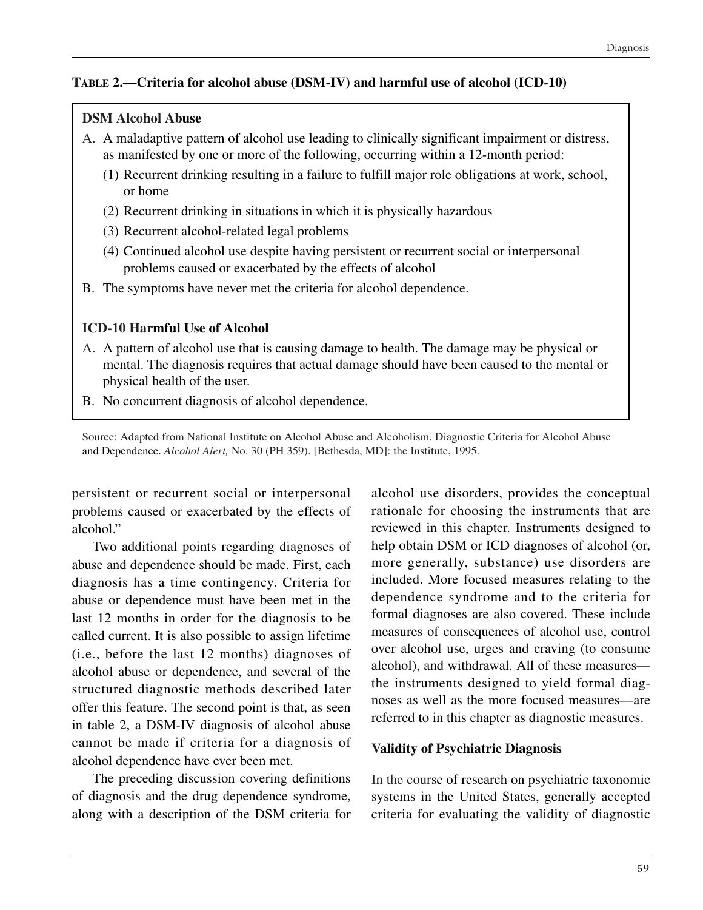### **TABLE 2.—Criteria for alcohol abuse (DSM-IV) and harmful use of alcohol (ICD-10)**

## **DSM Alcohol Abuse**

- A. A maladaptive pattern of alcohol use leading to clinically significant impairment or distress, as manifested by one or more of the following, occurring within a 12-month period:
	- (1) Recurrent drinking resulting in a failure to fulfill major role obligations at work, school, or home
	- (2) Recurrent drinking in situations in which it is physically hazardous
	- (3) Recurrent alcohol-related legal problems
	- (4) Continued alcohol use despite having persistent or recurrent social or interpersonal problems caused or exacerbated by the effects of alcohol
- B. The symptoms have never met the criteria for alcohol dependence.

## **ICD-10 Harmful Use of Alcohol**

- A. A pattern of alcohol use that is causing damage to health. The damage may be physical or mental. The diagnosis requires that actual damage should have been caused to the mental or physical health of the user.
- B. No concurrent diagnosis of alcohol dependence.

Source: Adapted from National Institute on Alcohol Abuse and Alcoholism. Diagnostic Criteria for Alcohol Abuse and Dependence. *Alcohol Alert,* No. 30 (PH 359). [Bethesda, MD]: the Institute, 1995.

persistent or recurrent social or interpersonal problems caused or exacerbated by the effects of alcohol."

Two additional points regarding diagnoses of abuse and dependence should be made. First, each diagnosis has a time contingency. Criteria for abuse or dependence must have been met in the last 12 months in order for the diagnosis to be called current. It is also possible to assign lifetime (i.e., before the last 12 months) diagnoses of alcohol abuse or dependence, and several of the structured diagnostic methods described later offer this feature. The second point is that, as seen in table 2, a DSM-IV diagnosis of alcohol abuse cannot be made if criteria for a diagnosis of alcohol dependence have ever been met.

The preceding discussion covering definitions of diagnosis and the drug dependence syndrome, along with a description of the DSM criteria for

alcohol use disorders, provides the conceptual rationale for choosing the instruments that are reviewed in this chapter. Instruments designed to help obtain DSM or ICD diagnoses of alcohol (or, more generally, substance) use disorders are included. More focused measures relating to the dependence syndrome and to the criteria for formal diagnoses are also covered. These include measures of consequences of alcohol use, control over alcohol use, urges and craving (to consume alcohol), and withdrawal. All of these measures the instruments designed to yield formal diagnoses as well as the more focused measures—are referred to in this chapter as diagnostic measures.

## **Validity of Psychiatric Diagnosis**

In the course of research on psychiatric taxonomic systems in the United States, generally accepted criteria for evaluating the validity of diagnostic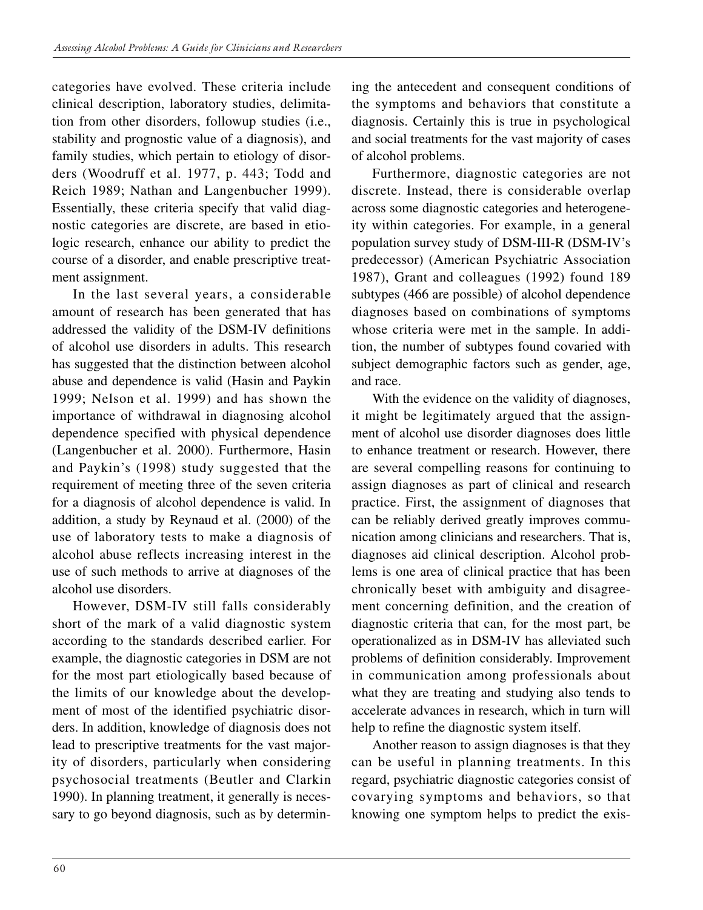categories have evolved. These criteria include clinical description, laboratory studies, delimitation from other disorders, followup studies (i.e., stability and prognostic value of a diagnosis), and family studies, which pertain to etiology of disorders (Woodruff et al. 1977, p. 443; Todd and Reich 1989; Nathan and Langenbucher 1999). Essentially, these criteria specify that valid diagnostic categories are discrete, are based in etiologic research, enhance our ability to predict the course of a disorder, and enable prescriptive treatment assignment.

In the last several years, a considerable amount of research has been generated that has addressed the validity of the DSM-IV definitions of alcohol use disorders in adults. This research has suggested that the distinction between alcohol abuse and dependence is valid (Hasin and Paykin 1999; Nelson et al. 1999) and has shown the importance of withdrawal in diagnosing alcohol dependence specified with physical dependence (Langenbucher et al. 2000). Furthermore, Hasin and Paykin's (1998) study suggested that the requirement of meeting three of the seven criteria for a diagnosis of alcohol dependence is valid. In addition, a study by Reynaud et al. (2000) of the use of laboratory tests to make a diagnosis of alcohol abuse reflects increasing interest in the use of such methods to arrive at diagnoses of the alcohol use disorders.

However, DSM-IV still falls considerably short of the mark of a valid diagnostic system according to the standards described earlier. For example, the diagnostic categories in DSM are not for the most part etiologically based because of the limits of our knowledge about the development of most of the identified psychiatric disorders. In addition, knowledge of diagnosis does not lead to prescriptive treatments for the vast majority of disorders, particularly when considering psychosocial treatments (Beutler and Clarkin 1990). In planning treatment, it generally is necessary to go beyond diagnosis, such as by determining the antecedent and consequent conditions of the symptoms and behaviors that constitute a diagnosis. Certainly this is true in psychological and social treatments for the vast majority of cases of alcohol problems.

Furthermore, diagnostic categories are not discrete. Instead, there is considerable overlap across some diagnostic categories and heterogeneity within categories. For example, in a general population survey study of DSM-III-R (DSM-IV's predecessor) (American Psychiatric Association 1987), Grant and colleagues (1992) found 189 subtypes (466 are possible) of alcohol dependence diagnoses based on combinations of symptoms whose criteria were met in the sample. In addition, the number of subtypes found covaried with subject demographic factors such as gender, age, and race.

With the evidence on the validity of diagnoses, it might be legitimately argued that the assignment of alcohol use disorder diagnoses does little to enhance treatment or research. However, there are several compelling reasons for continuing to assign diagnoses as part of clinical and research practice. First, the assignment of diagnoses that can be reliably derived greatly improves communication among clinicians and researchers. That is, diagnoses aid clinical description. Alcohol problems is one area of clinical practice that has been chronically beset with ambiguity and disagreement concerning definition, and the creation of diagnostic criteria that can, for the most part, be operationalized as in DSM-IV has alleviated such problems of definition considerably. Improvement in communication among professionals about what they are treating and studying also tends to accelerate advances in research, which in turn will help to refine the diagnostic system itself.

Another reason to assign diagnoses is that they can be useful in planning treatments. In this regard, psychiatric diagnostic categories consist of covarying symptoms and behaviors, so that knowing one symptom helps to predict the exis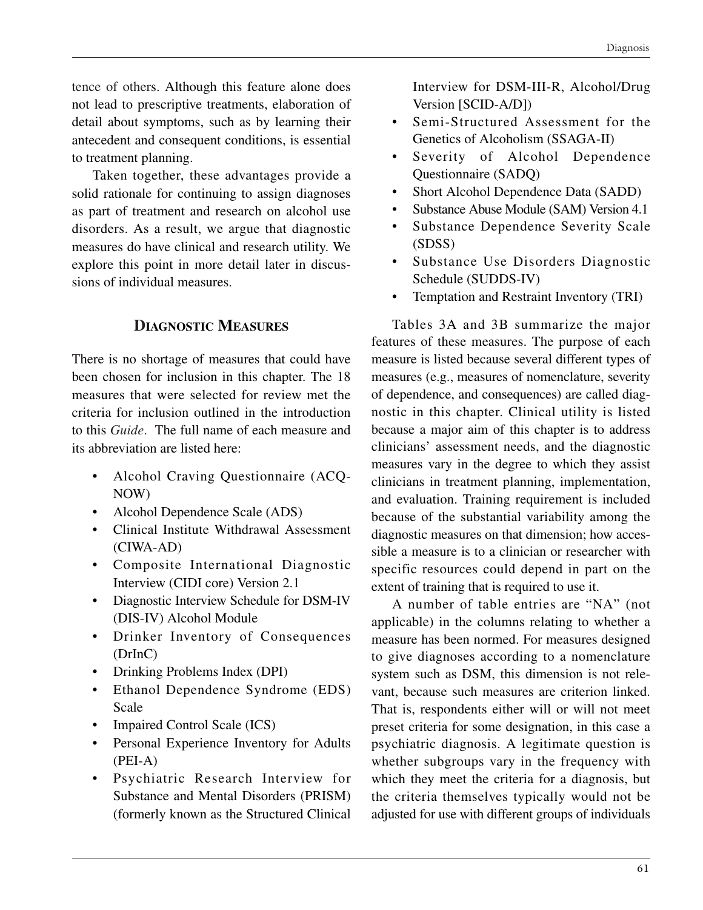tence of others. Although this feature alone does not lead to prescriptive treatments, elaboration of detail about symptoms, such as by learning their antecedent and consequent conditions, is essential to treatment planning.

Taken together, these advantages provide a solid rationale for continuing to assign diagnoses as part of treatment and research on alcohol use disorders. As a result, we argue that diagnostic measures do have clinical and research utility. We explore this point in more detail later in discussions of individual measures.

### **DIAGNOSTIC MEASURES**

There is no shortage of measures that could have been chosen for inclusion in this chapter. The 18 measures that were selected for review met the criteria for inclusion outlined in the introduction to this *Guide*. The full name of each measure and its abbreviation are listed here:

- Alcohol Craving Questionnaire (ACQ-NOW)
- Alcohol Dependence Scale (ADS)
- • Clinical Institute Withdrawal Assessment (CIWA-AD)
- • Composite International Diagnostic Interview (CIDI core) Version 2.1
- Diagnostic Interview Schedule for DSM-IV (DIS-IV) Alcohol Module
- Drinker Inventory of Consequences (DrInC)
- Drinking Problems Index (DPI)
- Ethanol Dependence Syndrome (EDS) Scale
- Impaired Control Scale (ICS)
- Personal Experience Inventory for Adults (PEI-A)
- Psychiatric Research Interview for Substance and Mental Disorders (PRISM) (formerly known as the Structured Clinical

Interview for DSM-III-R, Alcohol/Drug Version [SCID-A/D])

- Semi-Structured Assessment for the Genetics of Alcoholism (SSAGA-II)
- Severity of Alcohol Dependence Questionnaire (SADQ)
- Short Alcohol Dependence Data (SADD)
- Substance Abuse Module (SAM) Version 4.1
- • Substance Dependence Severity Scale (SDSS)
- • Substance Use Disorders Diagnostic Schedule (SUDDS-IV)
- Temptation and Restraint Inventory (TRI)

Tables 3A and 3B summarize the major features of these measures. The purpose of each measure is listed because several different types of measures (e.g., measures of nomenclature, severity of dependence, and consequences) are called diagnostic in this chapter. Clinical utility is listed because a major aim of this chapter is to address clinicians' assessment needs, and the diagnostic measures vary in the degree to which they assist clinicians in treatment planning, implementation, and evaluation. Training requirement is included because of the substantial variability among the diagnostic measures on that dimension; how accessible a measure is to a clinician or researcher with specific resources could depend in part on the extent of training that is required to use it.

A number of table entries are "NA" (not applicable) in the columns relating to whether a measure has been normed. For measures designed to give diagnoses according to a nomenclature system such as DSM, this dimension is not relevant, because such measures are criterion linked. That is, respondents either will or will not meet preset criteria for some designation, in this case a psychiatric diagnosis. A legitimate question is whether subgroups vary in the frequency with which they meet the criteria for a diagnosis, but the criteria themselves typically would not be adjusted for use with different groups of individuals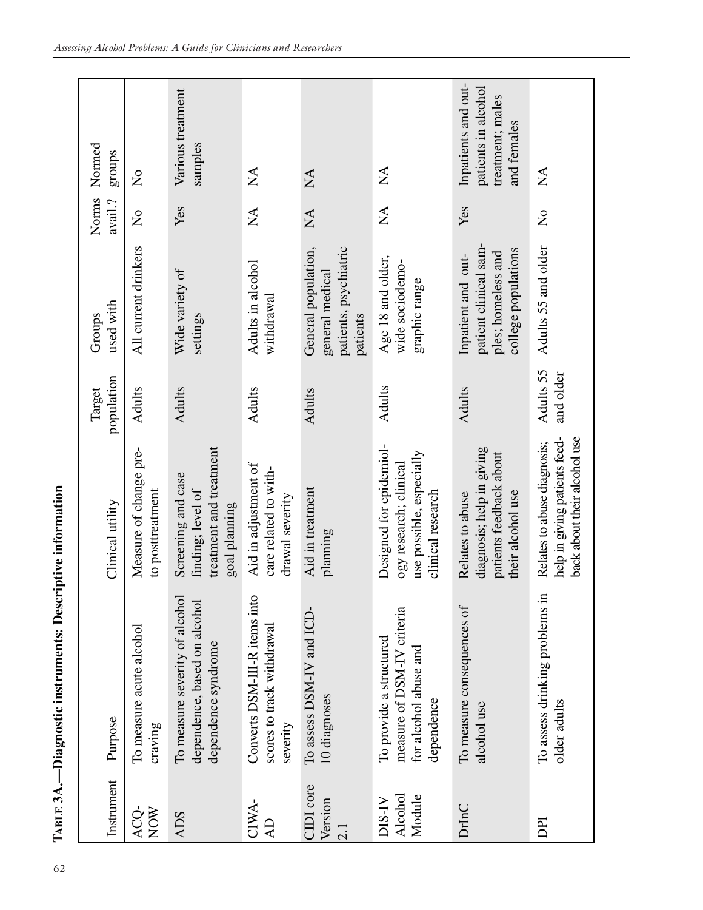| Instrument                  | Purpose                                                                                      | Clinical utility                                                                                   | population<br>Target   | used with<br>Groups                                                                      | Norms<br>avail.?          | Normed<br>groups                                                              |
|-----------------------------|----------------------------------------------------------------------------------------------|----------------------------------------------------------------------------------------------------|------------------------|------------------------------------------------------------------------------------------|---------------------------|-------------------------------------------------------------------------------|
| ACQ-<br>NOW                 | To measure acute alcohol<br>craving                                                          | Measure of change pre-<br>to posttreatment                                                         | <b>Adults</b>          | All current drinkers                                                                     | $\mathsf{S}^{\mathsf{O}}$ | $\mathsf{S}^{\mathsf{O}}$                                                     |
| <b>ADS</b>                  | To measure severity of alcohol<br>dependence, based on alcohol<br>dependence syndrome        | treatment and treatment<br>Screening and case<br>finding; level of<br>goal planning                | <b>Adults</b>          | Wide variety of<br>settings                                                              | Yes                       | Various treatment<br>samples                                                  |
| CIWA-<br>$\overline{A}$     | Converts DSM-III-R items into<br>scores to track withdrawal<br>severity                      | Aid in adjustment of<br>care related to with-<br>drawal severity                                   | Adults                 | Adults in alcohol<br>withdrawal                                                          | $\sum_{i=1}^{n}$          | $\mathbb{A}$                                                                  |
| CIDI core<br>Version<br>2.1 | To assess DSM-IV and ICD-<br>10 diagnoses                                                    | Aid in treatment<br>planning                                                                       | <b>Adults</b>          | General population,<br>patients, psychiatric<br>general medical<br>patients              | $\sum_{i=1}^{n}$          | $\mathop{\rm NA}\nolimits$                                                    |
| Alcohol<br>Module<br>N-SIQ  | measure of DSM-IV criteria<br>To provide a structured<br>for alcohol abuse and<br>dependence | Designed for epidemiol-<br>use possible, especially<br>ogy research; clinical<br>clinical research | <b>Adults</b>          | Age 18 and older,<br>wide sociodemo-<br>graphic range                                    | $\sum_{i=1}^{n}$          | $\mathbb{X}$                                                                  |
| DrInC                       | To measure consequences of<br>alcohol use                                                    | diagnosis; help in giving<br>patients feedback about<br>their alcohol use<br>Relates to abuse      | <b>Adults</b>          | patient clinical sam-<br>college populations<br>ples; homeless and<br>Inpatient and out- | Yes                       | Inpatients and out-<br>patients in alcohol<br>treatment; males<br>and females |
| DPI                         | To assess drinking problems in<br>older adults                                               | back about their alcohol use<br>help in giving patients feed-<br>Relates to abuse diagnosis;       | Adults 55<br>and older | Adults 55 and older                                                                      | $\frac{1}{2}$             | $\mathop{\lesssim}\limits^{\blacktriangle}$                                   |

**TABLE 3A.—Diagnostic instruments: Descriptive information** 

TABLE 3A.-Diagnostic instruments: Descriptive information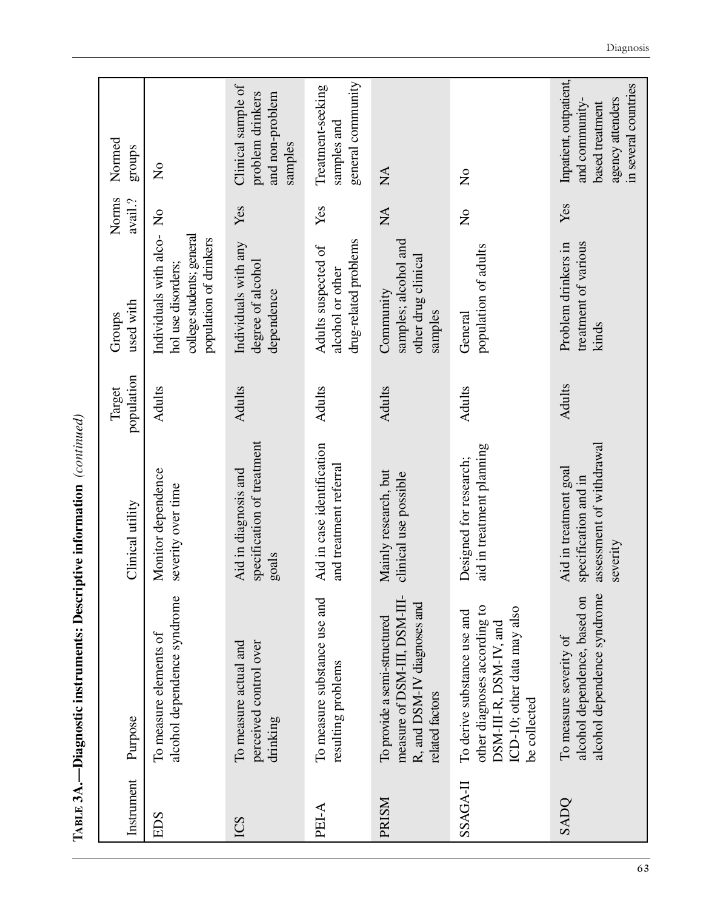| Instrument   | Purpose                                                                                                                              | Clinical utility                                                                      | population<br>Target | used with<br>Groups                                                                                   | Norms<br>avail.?          | Normed<br>stonbs                                                                                        |
|--------------|--------------------------------------------------------------------------------------------------------------------------------------|---------------------------------------------------------------------------------------|----------------------|-------------------------------------------------------------------------------------------------------|---------------------------|---------------------------------------------------------------------------------------------------------|
| EDS          | alcohol dependence syndrome<br>To measure elements of                                                                                | Monitor dependence<br>severity over time                                              | <b>Adults</b>        | Individuals with alco-No<br>college students; general<br>population of drinkers<br>hol use disorders; |                           | $\overline{a}$                                                                                          |
| ICS          | perceived control over<br>To measure actual and<br>drinking                                                                          | specification of treatment<br>Aid in diagnosis and<br>goals                           | <b>Adults</b>        | Individuals with any<br>degree of alcohol<br>dependence                                               | Yes                       | Clinical sample of<br>problem drinkers<br>and non-problem<br>samples                                    |
| PEI-A        | To measure substance use and<br>resulting problems                                                                                   | Aid in case identification<br>and treatment referral                                  | <b>Adults</b>        | drug-related problems<br>Adults suspected of<br>alcohol or other                                      | Yes                       | general community<br>Treatment-seeking<br>samples and                                                   |
| <b>PRISM</b> | measure of DSM-III, DSM-III-<br>R, and DSM-IV diagnoses and<br>To provide a semi-structured<br>related factors                       | Mainly research, but<br>clinical use possible                                         | <b>Adults</b>        | samples; alcohol and<br>other drug clinical<br>Community<br>samples                                   | $\sum_{i=1}^{n}$          | $\mathbb{X}$                                                                                            |
| SSAGA-II     | other diagnoses according to<br>ICD-10; other data may also<br>To derive substance use and<br>DSM-III-R, DSM-IV, and<br>be collected | aid in treatment planning<br>Designed for research;                                   | <b>Adults</b>        | population of adults<br>General                                                                       | $\mathsf{S}^{\mathsf{O}}$ | $\mathsf{S}^{\mathsf{O}}$                                                                               |
| SADO         | alcohol dependence syndrome<br>alcohol dependence, based on<br>To measure severity of                                                | assessment of withdrawal<br>Aid in treatment goal<br>specification and in<br>severity | <b>Adults</b>        | treatment of various<br>Problem drinkers in<br>kinds                                                  | Yes                       | Inpatient, outpatient,<br>in several countries<br>agency attenders<br>and community-<br>based treatment |

TABLE 3A.-Diagnostic instruments: Descriptive information (continued) **TABLE 3A.—Diagnostic instruments: Descriptive information** *(continued)* 

Diagnosis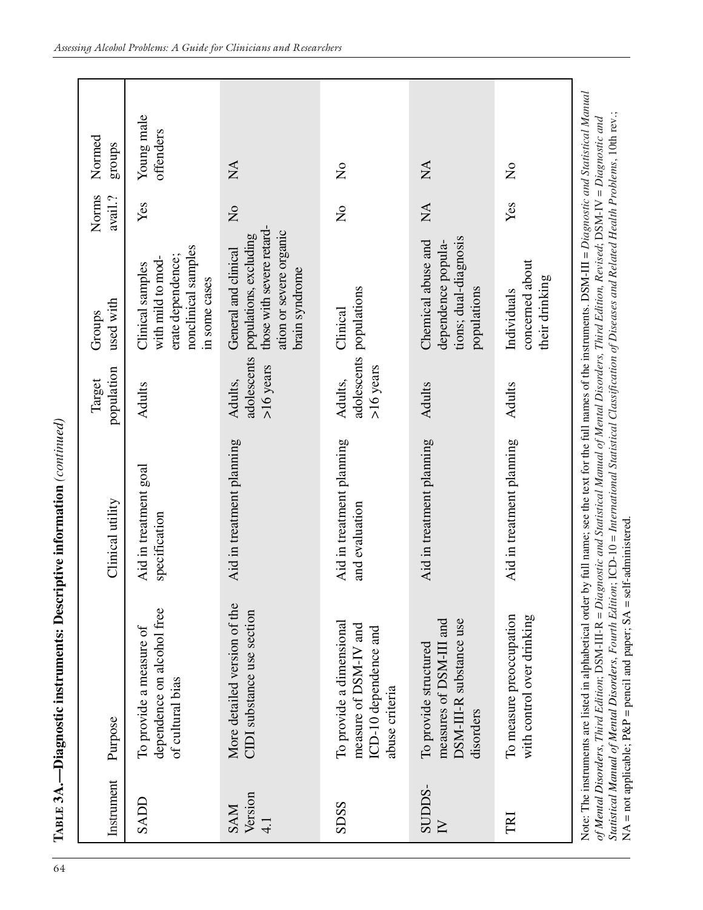| .<br>.<br>.                                                                                 |
|---------------------------------------------------------------------------------------------|
| ł<br>l<br>j                                                                                 |
| i<br>i                                                                                      |
| こくしくくり<br>0<br>j                                                                            |
| ֧֖֖֧֧֧֧֧֧֧֧֧֛֪֛֪֛֧֧֧֛֧֛֪֛֪֛֪֛֪֛֪֛֪֛֪֛֪֛֪֛֚֚֚֚֚֚֚֚֚֚֚֬֝֓֕֝֓֕֓֝֬֝֓֝֬֝֬֝֬֝֬֝֬֬֝֬֜֬<br>France P |

| Instrument                             | Purpose                                                                                                                                                                                                                                                                                                                                                                                                                                                            | Clinical utility                                                                                       | population<br>Target                  | used with<br>Groups                                                                                                      | Norms<br>avail.?          | Normed<br>groups          |
|----------------------------------------|--------------------------------------------------------------------------------------------------------------------------------------------------------------------------------------------------------------------------------------------------------------------------------------------------------------------------------------------------------------------------------------------------------------------------------------------------------------------|--------------------------------------------------------------------------------------------------------|---------------------------------------|--------------------------------------------------------------------------------------------------------------------------|---------------------------|---------------------------|
| SADL                                   | dependence on alcohol free<br>To provide a measure of<br>of cultural bias                                                                                                                                                                                                                                                                                                                                                                                          | Aid in treatment goal<br>specification                                                                 | <b>Adults</b>                         | nonclinical samples<br>erate dependence;<br>with mild to mod-<br>Clinical samples<br>in some cases                       | Yes                       | Young male<br>offenders   |
| Version<br><b>NVS</b><br>$\frac{1}{4}$ | More detailed version of the<br>CIDI substance use section                                                                                                                                                                                                                                                                                                                                                                                                         | Aid in treatment planning                                                                              | adolescents<br>$>16$ years<br>Adults, | those with severe retard-<br>ation or severe organic<br>populations, excluding<br>General and clinical<br>brain syndrome | $\mathsf{S}^{\mathsf{O}}$ | $\sum_{i=1}^{n}$          |
| SDSS                                   | To provide a dimensional<br>measure of DSM-IV and<br>ICD-10 dependence and<br>abuse criteria                                                                                                                                                                                                                                                                                                                                                                       | Aid in treatment planning<br>and evaluation                                                            | $>16$ years<br>Adults,                | adolescents populations<br>Clinical                                                                                      | $\frac{1}{2}$             | $\mathsf{S}^{\mathsf{O}}$ |
| SUDDS-<br>$\sum$                       | measures of DSM-III and<br>DSM-III-R substance use<br>To provide structured<br>disorders                                                                                                                                                                                                                                                                                                                                                                           | Aid in treatment planning                                                                              | <b>Adults</b>                         | tions; dual-diagnosis<br>Chemical abuse and<br>dependence popula-<br>populations                                         | $\sum_{i=1}^{n}$          | $\mathbb{X}$              |
| TRI                                    | To measure preoccupation<br>with control over drinking                                                                                                                                                                                                                                                                                                                                                                                                             | Aid in treatment planning                                                                              | Adults                                | concerned about<br>their drinking<br>Individuals                                                                         | Yes                       | $\frac{1}{2}$             |
|                                        | Statistical Manual of Mental Disorders, Fourth Edition; ICD-10 = International Statistical Classification of Diseases and Related Health Problems, 10th rev.;<br>of Mental Disorders, Third Edition; DSM-III-R = Diagnostic and Statistical Manual of Mental Disorders, Third Edition, Revised; DSM-IV = Diagnostic and<br>$NA$ = not applicable; $P\&P$ = pencil and paper; $SA$ = self-administered<br>Note: The instruments are listed in alphabetical order by | full name; see the text for the full names of the instruments. $DSM-III = Diagonal$ Statistical Manual |                                       |                                                                                                                          |                           |                           |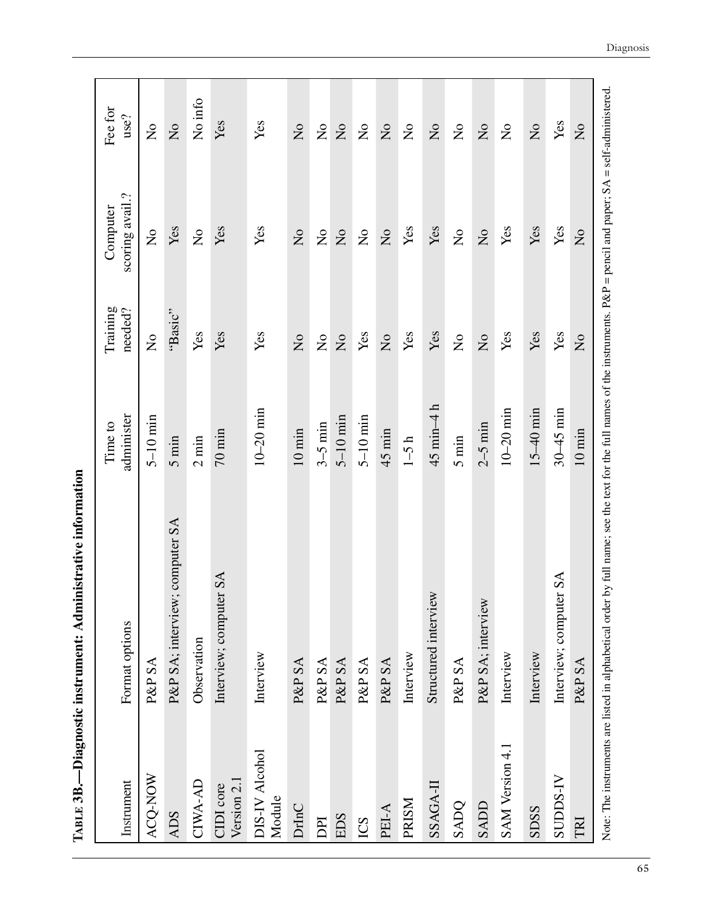| ֧֧֧֧֧֧֧֧֧֧֧֧֧֧֧֧֛֧֧֦֧֧֛֪֧֧֧֧֧֧֧֧֧֧֚֚֚֚֚֚֚֚֚֚֚֚֚֚֚֚֚֚֚֚֡֬֝֓֓֝֓֝֬֝֬֝֓֝֬֝֓֓֓֬֓֓֓֓֝֬֬ |
|-----------------------------------------------------------------------------------|
| י<br>י<br>l<br>Science de S                                                       |
|                                                                                   |
| J                                                                                 |
|                                                                                   |
| The Line of D                                                                     |

| Instrument                                                | Format options                 | administer<br>Time to          | Training<br>needed?            | scoring avail.?<br>Computer                                                                                                      | Fee for<br>use?                |
|-----------------------------------------------------------|--------------------------------|--------------------------------|--------------------------------|----------------------------------------------------------------------------------------------------------------------------------|--------------------------------|
| ACQ-NOW                                                   | P&P SA                         | $5-10$ min                     | $\mathsf{S}^{\mathsf{O}}$      | $\mathsf{S}^{\mathsf{O}}$                                                                                                        | $\mathsf{S}^{\mathsf{O}}$      |
| <b>ADS</b>                                                | P&P SA; interview; computer SA | $5 \text{ min}$                | "Basic"                        | Yes                                                                                                                              | $\mathop{\mathsf{S}}\nolimits$ |
| CIWA-AD                                                   | Observation                    | $2 \text{ min}$                | Yes                            | $\mathop{\mathsf{S}}\nolimits$                                                                                                   | No info                        |
| Version 2.1<br>CIDI core                                  | Interview; computer SA         | $70 \text{ min}$               | Yes                            | Yes                                                                                                                              | Yes                            |
| DIS-IV Alcohol<br>Module                                  | Interview                      | $10-20$ min                    | Yes                            | Yes                                                                                                                              | Yes                            |
| DrInC                                                     | P&P SA                         | $10 \min$                      | $\overline{a}$                 | $\overline{a}$                                                                                                                   | $\overline{a}$                 |
| DPI                                                       | P&P SA                         | $3-5$ min                      | $\mathop{\mathsf{S}}\nolimits$ | $\mathop{\mathsf{S}}\nolimits$                                                                                                   | $\mathsf{S}^{\mathsf{O}}$      |
| <b>EDS</b>                                                | P&P SA                         | $5-10$ min                     | $\overline{a}$                 | $\overline{\mathsf{S}}$                                                                                                          | $\mathsf{S}^{\mathsf{O}}$      |
| ICS                                                       | P&P SA                         | $5-10$ min                     | Yes                            | $\mathsf{S}^{\mathsf{O}}$                                                                                                        | $\mathsf{S}^{\mathsf{O}}$      |
| PEI-A                                                     | P&P SA                         | $45$ min                       | $\mathop{\mathrm{S}}\nolimits$ | $\mathsf{S}^{\mathsf{O}}$                                                                                                        | $\mathsf{S}^{\mathsf{O}}$      |
| PRISM                                                     | Interview                      | $1-5 h$                        | Yes                            | Yes                                                                                                                              | $\mathsf{S}^{\mathsf{O}}$      |
| SSAGA-II                                                  | Structured interview           | $45 \text{ min} - 4 \text{ h}$ | Yes                            | Yes                                                                                                                              | $\mathsf{S}^{\mathsf{O}}$      |
| SADQ                                                      | P&P SA                         | $5 \text{ min}$                | $\mathop{\mathsf{S}}\nolimits$ | $\mathop{\mathsf{S}}\nolimits$                                                                                                   | $\mathsf{S}^{\mathsf{O}}$      |
| SADD                                                      | P&P SA; interview              | $2-5$ min                      | $\overline{a}$                 | $\overline{\mathsf{S}}$                                                                                                          | $\mathsf{S}^{\mathsf{O}}$      |
| SAM Version 4.1                                           | Interview                      | $10-20$ min                    | Yes                            | Yes                                                                                                                              | $\mathsf{S}^{\mathsf{O}}$      |
| SDSS                                                      | Interview                      | $15-40$ min                    | Yes                            | Yes                                                                                                                              | $\overline{\mathsf{S}}$        |
| SUDDS-IV                                                  | Interview; computer SA         | $30 - 45$ min                  | Yes                            | Yes                                                                                                                              | Yes                            |
| TRI                                                       | P&P SA                         | $10 \text{ min}$               | $\overline{a}$                 | $\overline{a}$                                                                                                                   | $\mathsf{S}^{\mathsf{O}}$      |
| Note: The instruments are listed in alphabetical order by |                                |                                |                                | full name; see the text for the full names of the instruments. $P\&P = \text{pencil}$ and paper; $SA = \text{self-administered}$ |                                |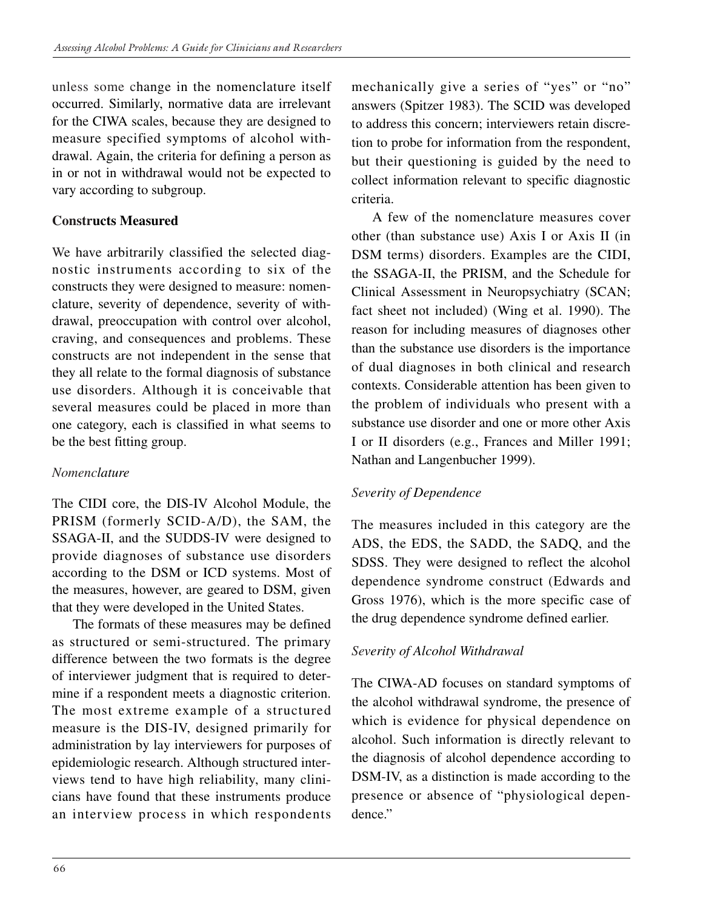unless some change in the nomenclature itself occurred. Similarly, normative data are irrelevant for the CIWA scales, because they are designed to measure specified symptoms of alcohol withdrawal. Again, the criteria for defining a person as in or not in withdrawal would not be expected to vary according to subgroup.

### **Constructs Measured**

We have arbitrarily classified the selected diagnostic instruments according to six of the constructs they were designed to measure: nomenclature, severity of dependence, severity of withdrawal, preoccupation with control over alcohol, craving, and consequences and problems. These constructs are not independent in the sense that they all relate to the formal diagnosis of substance use disorders. Although it is conceivable that several measures could be placed in more than one category, each is classified in what seems to be the best fitting group.

## *Nomenclature*

The CIDI core, the DIS-IV Alcohol Module, the PRISM (formerly SCID-A/D), the SAM, the SSAGA-II, and the SUDDS-IV were designed to provide diagnoses of substance use disorders according to the DSM or ICD systems. Most of the measures, however, are geared to DSM, given that they were developed in the United States.

The formats of these measures may be defined as structured or semi-structured. The primary difference between the two formats is the degree of interviewer judgment that is required to determine if a respondent meets a diagnostic criterion. The most extreme example of a structured measure is the DIS-IV, designed primarily for administration by lay interviewers for purposes of epidemiologic research. Although structured interviews tend to have high reliability, many clinicians have found that these instruments produce an interview process in which respondents

mechanically give a series of "yes" or "no" answers (Spitzer 1983). The SCID was developed to address this concern; interviewers retain discretion to probe for information from the respondent, but their questioning is guided by the need to collect information relevant to specific diagnostic criteria.

A few of the nomenclature measures cover other (than substance use) Axis I or Axis II (in DSM terms) disorders. Examples are the CIDI, the SSAGA-II, the PRISM, and the Schedule for Clinical Assessment in Neuropsychiatry (SCAN; fact sheet not included) (Wing et al. 1990). The reason for including measures of diagnoses other than the substance use disorders is the importance of dual diagnoses in both clinical and research contexts. Considerable attention has been given to the problem of individuals who present with a substance use disorder and one or more other Axis I or II disorders (e.g., Frances and Miller 1991; Nathan and Langenbucher 1999).

## *Severity of Dependence*

The measures included in this category are the ADS, the EDS, the SADD, the SADQ, and the SDSS. They were designed to reflect the alcohol dependence syndrome construct (Edwards and Gross 1976), which is the more specific case of the drug dependence syndrome defined earlier.

## *Severity of Alcohol Withdrawal*

The CIWA-AD focuses on standard symptoms of the alcohol withdrawal syndrome, the presence of which is evidence for physical dependence on alcohol. Such information is directly relevant to the diagnosis of alcohol dependence according to DSM-IV, as a distinction is made according to the presence or absence of "physiological dependence."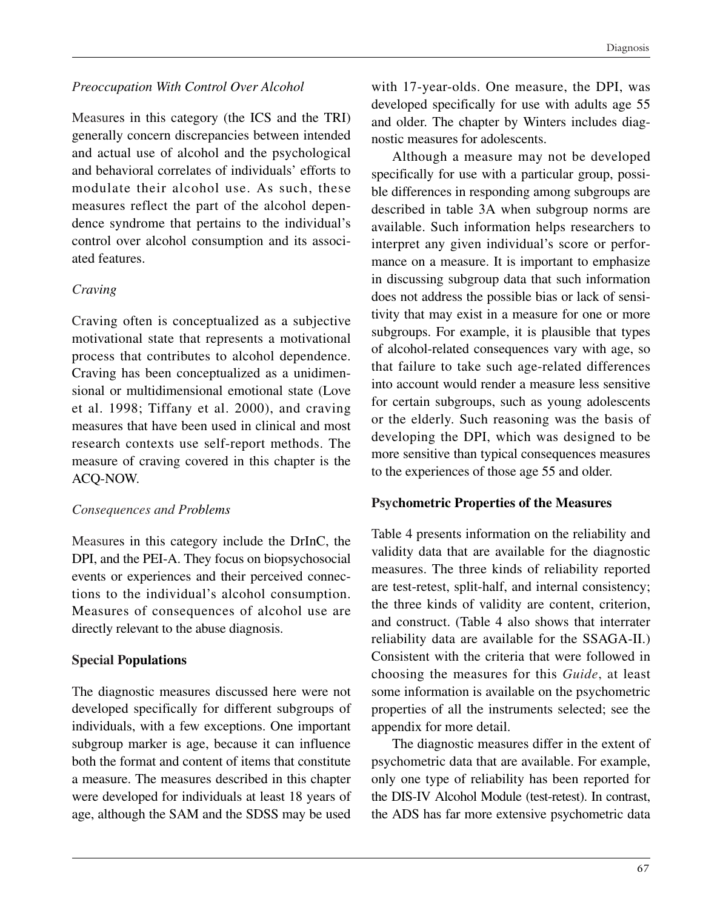#### *Preoccupation With Control Over Alcohol*

Measures in this category (the ICS and the TRI) generally concern discrepancies between intended and actual use of alcohol and the psychological and behavioral correlates of individuals' efforts to modulate their alcohol use. As such, these measures reflect the part of the alcohol dependence syndrome that pertains to the individual's control over alcohol consumption and its associated features.

#### *Craving*

Craving often is conceptualized as a subjective motivational state that represents a motivational process that contributes to alcohol dependence. Craving has been conceptualized as a unidimensional or multidimensional emotional state (Love et al. 1998; Tiffany et al. 2000), and craving measures that have been used in clinical and most research contexts use self-report methods. The measure of craving covered in this chapter is the ACQ-NOW.

#### *Consequences and Problems*

Measures in this category include the DrInC, the DPI, and the PEI-A. They focus on biopsychosocial events or experiences and their perceived connections to the individual's alcohol consumption. Measures of consequences of alcohol use are directly relevant to the abuse diagnosis.

## **Special Populations**

The diagnostic measures discussed here were not developed specifically for different subgroups of individuals, with a few exceptions. One important subgroup marker is age, because it can influence both the format and content of items that constitute a measure. The measures described in this chapter were developed for individuals at least 18 years of age, although the SAM and the SDSS may be used

with 17-year-olds. One measure, the DPI, was developed specifically for use with adults age 55 and older. The chapter by Winters includes diagnostic measures for adolescents.

Although a measure may not be developed specifically for use with a particular group, possible differences in responding among subgroups are described in table 3A when subgroup norms are available. Such information helps researchers to interpret any given individual's score or performance on a measure. It is important to emphasize in discussing subgroup data that such information does not address the possible bias or lack of sensitivity that may exist in a measure for one or more subgroups. For example, it is plausible that types of alcohol-related consequences vary with age, so that failure to take such age-related differences into account would render a measure less sensitive for certain subgroups, such as young adolescents or the elderly. Such reasoning was the basis of developing the DPI, which was designed to be more sensitive than typical consequences measures to the experiences of those age 55 and older.

#### **Psychometric Properties of the Measures**

Table 4 presents information on the reliability and validity data that are available for the diagnostic measures. The three kinds of reliability reported are test-retest, split-half, and internal consistency; the three kinds of validity are content, criterion, and construct. (Table 4 also shows that interrater reliability data are available for the SSAGA-II.) Consistent with the criteria that were followed in choosing the measures for this *Guide*, at least some information is available on the psychometric properties of all the instruments selected; see the appendix for more detail.

The diagnostic measures differ in the extent of psychometric data that are available. For example, only one type of reliability has been reported for the DIS-IV Alcohol Module (test-retest). In contrast, the ADS has far more extensive psychometric data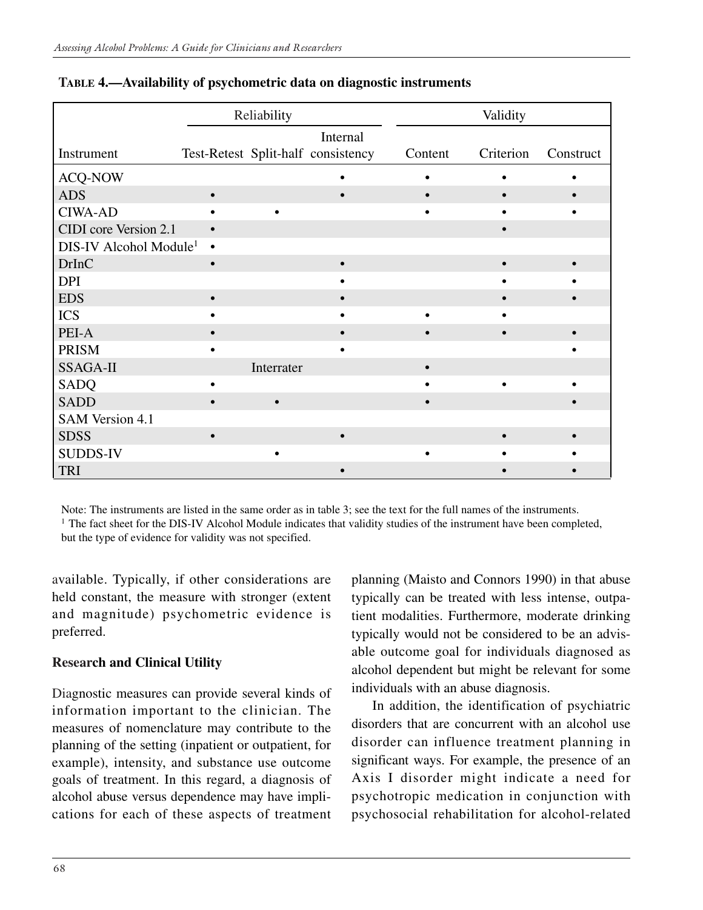|                                    |           | Reliability |                                                |         | Validity  |           |
|------------------------------------|-----------|-------------|------------------------------------------------|---------|-----------|-----------|
| Instrument                         |           |             | Internal<br>Test-Retest Split-half consistency | Content | Criterion | Construct |
| <b>ACQ-NOW</b>                     |           |             |                                                |         |           |           |
| <b>ADS</b>                         | $\bullet$ |             |                                                |         |           |           |
| <b>CIWA-AD</b>                     |           |             |                                                |         |           |           |
| CIDI core Version 2.1              | $\bullet$ |             |                                                |         |           |           |
| DIS-IV Alcohol Module <sup>1</sup> | $\bullet$ |             |                                                |         |           |           |
| <b>DrInC</b>                       | $\bullet$ |             |                                                |         |           |           |
| <b>DPI</b>                         |           |             |                                                |         |           |           |
| <b>EDS</b>                         | $\bullet$ |             |                                                |         |           |           |
| <b>ICS</b>                         |           |             |                                                |         |           |           |
| PEI-A                              |           |             |                                                |         |           |           |
| <b>PRISM</b>                       |           |             |                                                |         |           |           |
| <b>SSAGA-II</b>                    |           | Interrater  |                                                |         |           |           |
| <b>SADQ</b>                        |           |             |                                                |         |           |           |
| <b>SADD</b>                        |           |             |                                                |         |           |           |
| <b>SAM Version 4.1</b>             |           |             |                                                |         |           |           |
| <b>SDSS</b>                        | $\bullet$ |             |                                                |         |           |           |
| <b>SUDDS-IV</b>                    |           |             |                                                |         |           |           |
| <b>TRI</b>                         |           |             |                                                |         |           |           |

#### **TABLE 4.—Availability of psychometric data on diagnostic instruments**

Note: The instruments are listed in the same order as in table 3; see the text for the full names of the instruments.

<sup>1</sup> The fact sheet for the DIS-IV Alcohol Module indicates that validity studies of the instrument have been completed, but the type of evidence for validity was not specified.

available. Typically, if other considerations are held constant, the measure with stronger (extent and magnitude) psychometric evidence is preferred.

## **Research and Clinical Utility**

Diagnostic measures can provide several kinds of information important to the clinician. The measures of nomenclature may contribute to the planning of the setting (inpatient or outpatient, for example), intensity, and substance use outcome goals of treatment. In this regard, a diagnosis of alcohol abuse versus dependence may have implications for each of these aspects of treatment planning (Maisto and Connors 1990) in that abuse typically can be treated with less intense, outpatient modalities. Furthermore, moderate drinking typically would not be considered to be an advisable outcome goal for individuals diagnosed as alcohol dependent but might be relevant for some individuals with an abuse diagnosis.

In addition, the identification of psychiatric disorders that are concurrent with an alcohol use disorder can influence treatment planning in significant ways. For example, the presence of an Axis I disorder might indicate a need for psychotropic medication in conjunction with psychosocial rehabilitation for alcohol-related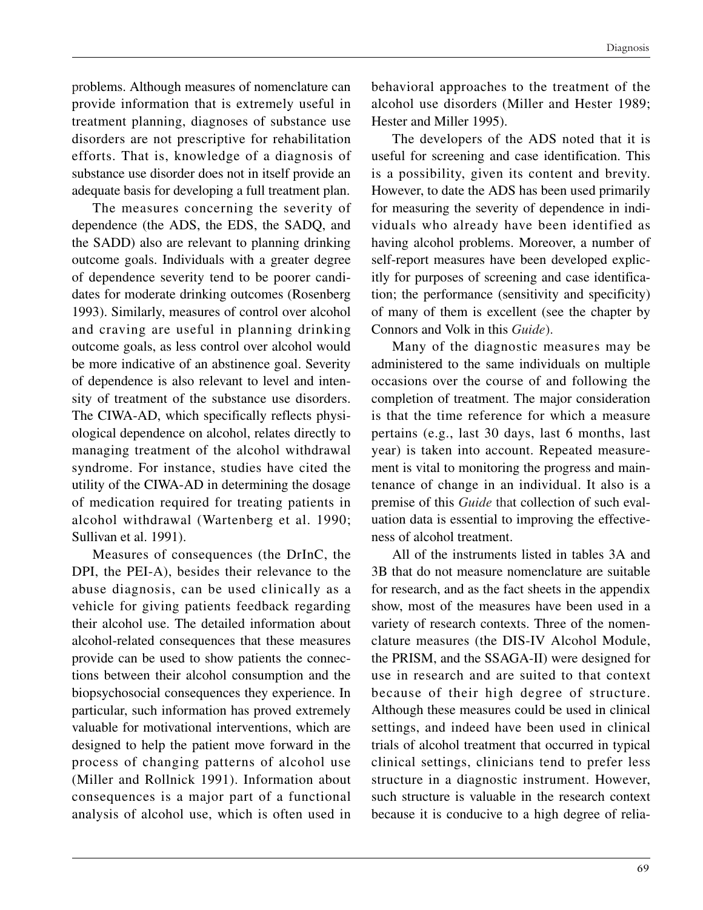problems. Although measures of nomenclature can provide information that is extremely useful in treatment planning, diagnoses of substance use disorders are not prescriptive for rehabilitation efforts. That is, knowledge of a diagnosis of substance use disorder does not in itself provide an adequate basis for developing a full treatment plan.

The measures concerning the severity of dependence (the ADS, the EDS, the SADQ, and the SADD) also are relevant to planning drinking outcome goals. Individuals with a greater degree of dependence severity tend to be poorer candidates for moderate drinking outcomes (Rosenberg 1993). Similarly, measures of control over alcohol and craving are useful in planning drinking outcome goals, as less control over alcohol would be more indicative of an abstinence goal. Severity of dependence is also relevant to level and intensity of treatment of the substance use disorders. The CIWA-AD, which specifically reflects physiological dependence on alcohol, relates directly to managing treatment of the alcohol withdrawal syndrome. For instance, studies have cited the utility of the CIWA-AD in determining the dosage of medication required for treating patients in alcohol withdrawal (Wartenberg et al. 1990; Sullivan et al. 1991).

Measures of consequences (the DrInC, the DPI, the PEI-A), besides their relevance to the abuse diagnosis, can be used clinically as a vehicle for giving patients feedback regarding their alcohol use. The detailed information about alcohol-related consequences that these measures provide can be used to show patients the connections between their alcohol consumption and the biopsychosocial consequences they experience. In particular, such information has proved extremely valuable for motivational interventions, which are designed to help the patient move forward in the process of changing patterns of alcohol use (Miller and Rollnick 1991). Information about consequences is a major part of a functional analysis of alcohol use, which is often used in

behavioral approaches to the treatment of the alcohol use disorders (Miller and Hester 1989; Hester and Miller 1995).

The developers of the ADS noted that it is useful for screening and case identification. This is a possibility, given its content and brevity. However, to date the ADS has been used primarily for measuring the severity of dependence in individuals who already have been identified as having alcohol problems. Moreover, a number of self-report measures have been developed explicitly for purposes of screening and case identification; the performance (sensitivity and specificity) of many of them is excellent (see the chapter by Connors and Volk in this *Guide*).

Many of the diagnostic measures may be administered to the same individuals on multiple occasions over the course of and following the completion of treatment. The major consideration is that the time reference for which a measure pertains (e.g., last 30 days, last 6 months, last year) is taken into account. Repeated measurement is vital to monitoring the progress and maintenance of change in an individual. It also is a premise of this *Guide* that collection of such evaluation data is essential to improving the effectiveness of alcohol treatment.

All of the instruments listed in tables 3A and 3B that do not measure nomenclature are suitable for research, and as the fact sheets in the appendix show, most of the measures have been used in a variety of research contexts. Three of the nomenclature measures (the DIS-IV Alcohol Module, the PRISM, and the SSAGA-II) were designed for use in research and are suited to that context because of their high degree of structure. Although these measures could be used in clinical settings, and indeed have been used in clinical trials of alcohol treatment that occurred in typical clinical settings, clinicians tend to prefer less structure in a diagnostic instrument. However, such structure is valuable in the research context because it is conducive to a high degree of relia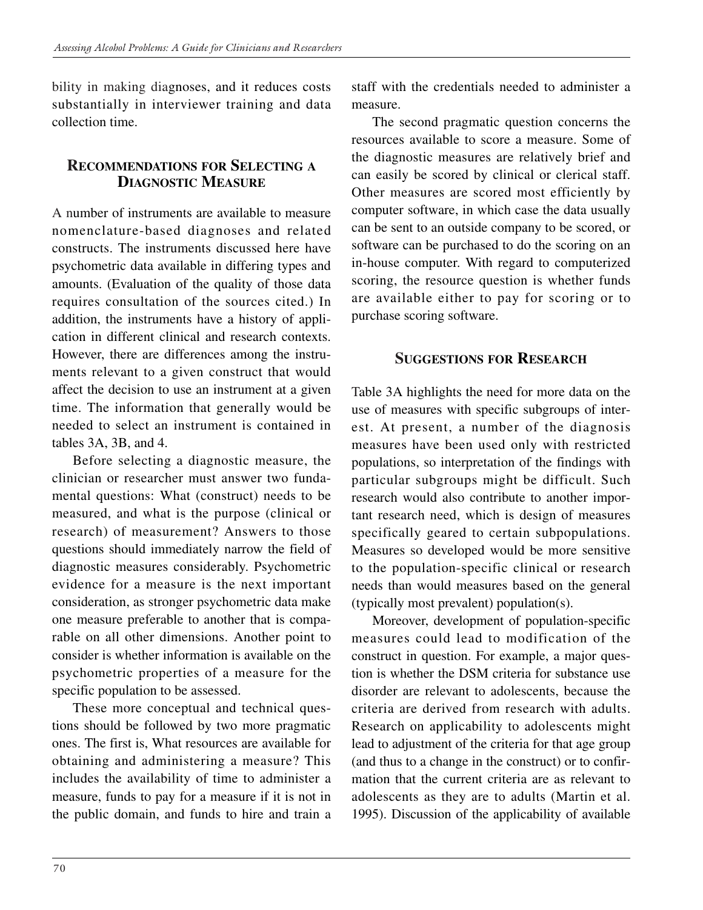bility in making diagnoses, and it reduces costs substantially in interviewer training and data collection time.

## **RECOMMENDATIONS FOR SELECTING A DIAGNOSTIC MEASURE**

A number of instruments are available to measure nomenclature-based diagnoses and related constructs. The instruments discussed here have psychometric data available in differing types and amounts. (Evaluation of the quality of those data requires consultation of the sources cited.) In addition, the instruments have a history of application in different clinical and research contexts. However, there are differences among the instruments relevant to a given construct that would affect the decision to use an instrument at a given time. The information that generally would be needed to select an instrument is contained in tables 3A, 3B, and 4.

Before selecting a diagnostic measure, the clinician or researcher must answer two fundamental questions: What (construct) needs to be measured, and what is the purpose (clinical or research) of measurement? Answers to those questions should immediately narrow the field of diagnostic measures considerably. Psychometric evidence for a measure is the next important consideration, as stronger psychometric data make one measure preferable to another that is comparable on all other dimensions. Another point to consider is whether information is available on the psychometric properties of a measure for the specific population to be assessed.

These more conceptual and technical questions should be followed by two more pragmatic ones. The first is, What resources are available for obtaining and administering a measure? This includes the availability of time to administer a measure, funds to pay for a measure if it is not in the public domain, and funds to hire and train a staff with the credentials needed to administer a measure.

The second pragmatic question concerns the resources available to score a measure. Some of the diagnostic measures are relatively brief and can easily be scored by clinical or clerical staff. Other measures are scored most efficiently by computer software, in which case the data usually can be sent to an outside company to be scored, or software can be purchased to do the scoring on an in-house computer. With regard to computerized scoring, the resource question is whether funds are available either to pay for scoring or to purchase scoring software.

## **SUGGESTIONS FOR RESEARCH**

Table 3A highlights the need for more data on the use of measures with specific subgroups of interest. At present, a number of the diagnosis measures have been used only with restricted populations, so interpretation of the findings with particular subgroups might be difficult. Such research would also contribute to another important research need, which is design of measures specifically geared to certain subpopulations. Measures so developed would be more sensitive to the population-specific clinical or research needs than would measures based on the general (typically most prevalent) population(s).

Moreover, development of population-specific measures could lead to modification of the construct in question. For example, a major question is whether the DSM criteria for substance use disorder are relevant to adolescents, because the criteria are derived from research with adults. Research on applicability to adolescents might lead to adjustment of the criteria for that age group (and thus to a change in the construct) or to confirmation that the current criteria are as relevant to adolescents as they are to adults (Martin et al. 1995). Discussion of the applicability of available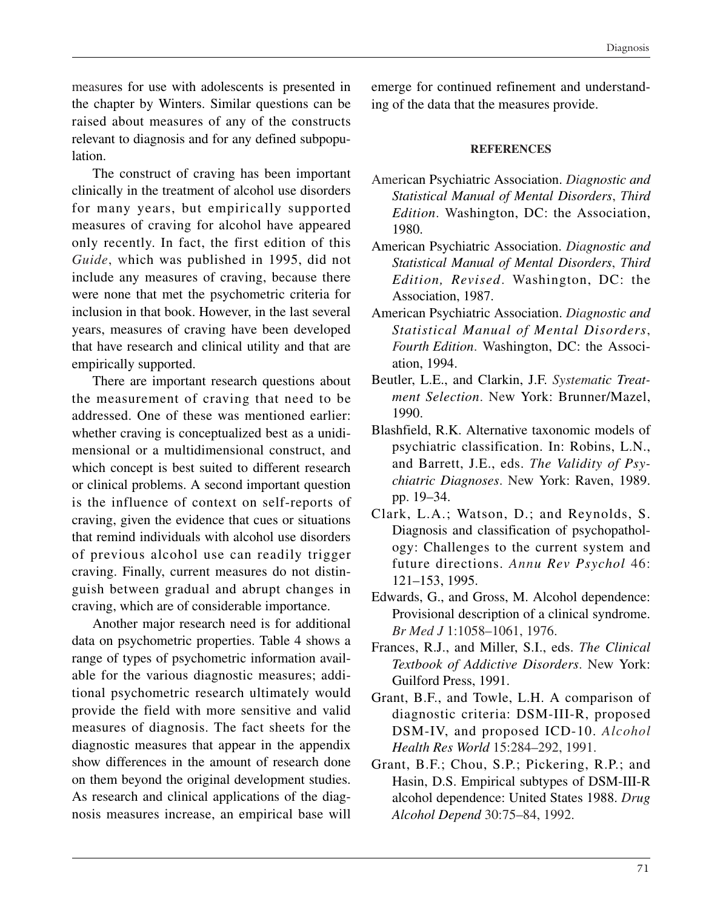measures for use with adolescents is presented in the chapter by Winters. Similar questions can be raised about measures of any of the constructs relevant to diagnosis and for any defined subpopulation.

The construct of craving has been important clinically in the treatment of alcohol use disorders for many years, but empirically supported measures of craving for alcohol have appeared only recently. In fact, the first edition of this *Guide*, which was published in 1995, did not include any measures of craving, because there were none that met the psychometric criteria for inclusion in that book. However, in the last several years, measures of craving have been developed that have research and clinical utility and that are empirically supported.

There are important research questions about the measurement of craving that need to be addressed. One of these was mentioned earlier: whether craving is conceptualized best as a unidimensional or a multidimensional construct, and which concept is best suited to different research or clinical problems. A second important question is the influence of context on self-reports of craving, given the evidence that cues or situations that remind individuals with alcohol use disorders of previous alcohol use can readily trigger craving. Finally, current measures do not distinguish between gradual and abrupt changes in craving, which are of considerable importance.

Another major research need is for additional data on psychometric properties. Table 4 shows a range of types of psychometric information available for the various diagnostic measures; additional psychometric research ultimately would provide the field with more sensitive and valid measures of diagnosis. The fact sheets for the diagnostic measures that appear in the appendix show differences in the amount of research done on them beyond the original development studies. As research and clinical applications of the diagnosis measures increase, an empirical base will emerge for continued refinement and understanding of the data that the measures provide.

#### **REFERENCES**

- American Psychiatric Association. *Diagnostic and Statistical Manual of Mental Disorders*, *Third Edition*. Washington, DC: the Association, 1980.
- American Psychiatric Association. *Diagnostic and Statistical Manual of Mental Disorders*, *Third Edition, Revised*. Washington, DC: the Association, 1987.
- American Psychiatric Association. *Diagnostic and Statistical Manual of Mental Disorders*, *Fourth Edition*. Washington, DC: the Association, 1994.
- Beutler, L.E., and Clarkin, J.F. *Systematic Treatment Selection*. New York: Brunner/Mazel, 1990.
- Blashfield, R.K. Alternative taxonomic models of psychiatric classification. In: Robins, L.N., and Barrett, J.E., eds. *The Validity of Psychiatric Diagnoses*. New York: Raven, 1989. pp. 19–34.
- Clark, L.A.; Watson, D.; and Reynolds, S. Diagnosis and classification of psychopathology: Challenges to the current system and future directions. *Annu Rev Psychol* 46: 121–153, 1995.
- Edwards, G., and Gross, M. Alcohol dependence: Provisional description of a clinical syndrome. *Br Med J* 1:1058–1061, 1976.
- Frances, R.J., and Miller, S.I., eds. *The Clinical Textbook of Addictive Disorders*. New York: Guilford Press, 1991.
- Grant, B.F., and Towle, L.H. A comparison of diagnostic criteria: DSM-III-R, proposed DSM-IV, and proposed ICD-10. *Alcohol Health Res World* 15:284–292, 1991.
- Grant, B.F.; Chou, S.P.; Pickering, R.P.; and Hasin, D.S. Empirical subtypes of DSM-III-R alcohol dependence: United States 1988. *Drug Alcohol Depend* 30:75–84, 1992.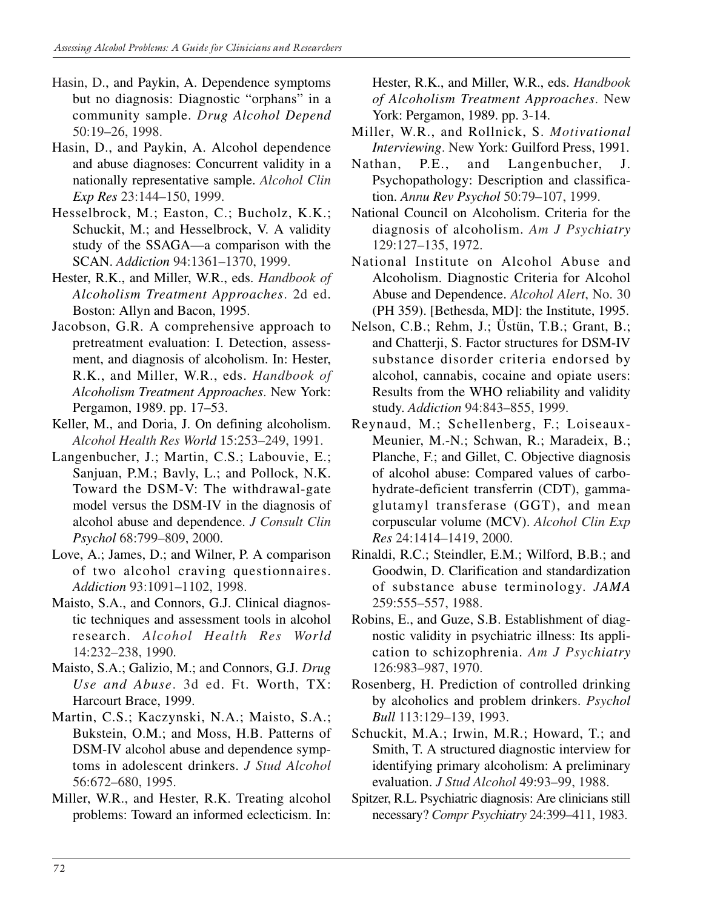- Hasin, D., and Paykin, A. Dependence symptoms but no diagnosis: Diagnostic "orphans" in a community sample. *Drug Alcohol Depend*  50:19–26, 1998.
- Hasin, D., and Paykin, A. Alcohol dependence and abuse diagnoses: Concurrent validity in a nationally representative sample. *Alcohol Clin Exp Res* 23:144–150, 1999.
- Hesselbrock, M.; Easton, C.; Bucholz, K.K.; Schuckit, M.; and Hesselbrock, V. A validity study of the SSAGA—a comparison with the SCAN. *Addiction* 94:1361–1370, 1999.
- Hester, R.K., and Miller, W.R., eds. *Handbook of Alcoholism Treatment Approaches*. 2d ed. Boston: Allyn and Bacon, 1995.
- Jacobson, G.R. A comprehensive approach to pretreatment evaluation: I. Detection, assessment, and diagnosis of alcoholism. In: Hester, R.K., and Miller, W.R., eds. *Handbook of Alcoholism Treatment Approaches*. New York: Pergamon, 1989. pp. 17–53.
- Keller, M., and Doria, J. On defining alcoholism. *Alcohol Health Res World* 15:253–249, 1991.
- Langenbucher, J.; Martin, C.S.; Labouvie, E.; Sanjuan, P.M.; Bavly, L.; and Pollock, N.K. Toward the DSM-V: The withdrawal-gate model versus the DSM-IV in the diagnosis of alcohol abuse and dependence. *J Consult Clin Psychol* 68:799–809, 2000.
- Love, A.; James, D.; and Wilner, P. A comparison of two alcohol craving questionnaires. *Addiction* 93:1091–1102, 1998.
- Maisto, S.A., and Connors, G.J. Clinical diagnostic techniques and assessment tools in alcohol research. *Alcohol Health Res World*  14:232–238, 1990.
- Maisto, S.A.; Galizio, M.; and Connors, G.J. *Drug Use and Abuse*. 3d ed. Ft. Worth, TX: Harcourt Brace, 1999.
- Martin, C.S.; Kaczynski, N.A.; Maisto, S.A.; Bukstein, O.M.; and Moss, H.B. Patterns of DSM-IV alcohol abuse and dependence symptoms in adolescent drinkers. *J Stud Alcohol*  56:672–680, 1995.
- Miller, W.R., and Hester, R.K. Treating alcohol problems: Toward an informed eclecticism. In:

Hester, R.K., and Miller, W.R., eds. *Handbook of Alcoholism Treatment Approaches*. New York: Pergamon, 1989. pp. 3-14.

- Miller, W.R., and Rollnick, S. *Motivational Interviewing*. New York: Guilford Press, 1991.
- Nathan, P.E., and Langenbucher, J. Psychopathology: Description and classification. *Annu Rev Psychol* 50:79–107, 1999.
- National Council on Alcoholism. Criteria for the diagnosis of alcoholism. *Am J Psychiatry*  129:127–135, 1972.
- National Institute on Alcohol Abuse and Alcoholism. Diagnostic Criteria for Alcohol Abuse and Dependence. *Alcohol Alert*, No. 30 (PH 359). [Bethesda, MD]: the Institute, 1995.
- Nelson, C.B.; Rehm, J.; Üstün, T.B.; Grant, B.; and Chatterji, S. Factor structures for DSM-IV substance disorder criteria endorsed by alcohol, cannabis, cocaine and opiate users: Results from the WHO reliability and validity study. *Addiction* 94:843–855, 1999.
- Reynaud, M.; Schellenberg, F.; Loiseaux-Meunier, M.-N.; Schwan, R.; Maradeix, B.; Planche, F.; and Gillet, C. Objective diagnosis of alcohol abuse: Compared values of carbohydrate-deficient transferrin (CDT), gammaglutamyl transferase (GGT), and mean corpuscular volume (MCV). *Alcohol Clin Exp Res* 24:1414–1419, 2000.
- Rinaldi, R.C.; Steindler, E.M.; Wilford, B.B.; and Goodwin, D. Clarification and standardization of substance abuse terminology. *JAMA*  259:555–557, 1988.
- Robins, E., and Guze, S.B. Establishment of diagnostic validity in psychiatric illness: Its application to schizophrenia. *Am J Psychiatry*  126:983–987, 1970.
- Rosenberg, H. Prediction of controlled drinking by alcoholics and problem drinkers. *Psychol Bull* 113:129–139, 1993.
- Schuckit, M.A.; Irwin, M.R.; Howard, T.; and Smith, T. A structured diagnostic interview for identifying primary alcoholism: A preliminary evaluation. *J Stud Alcohol* 49:93–99, 1988.
- Spitzer, R.L. Psychiatric diagnosis: Are clinicians still necessary? *Compr Psychiatry* 24:399–411, 1983.